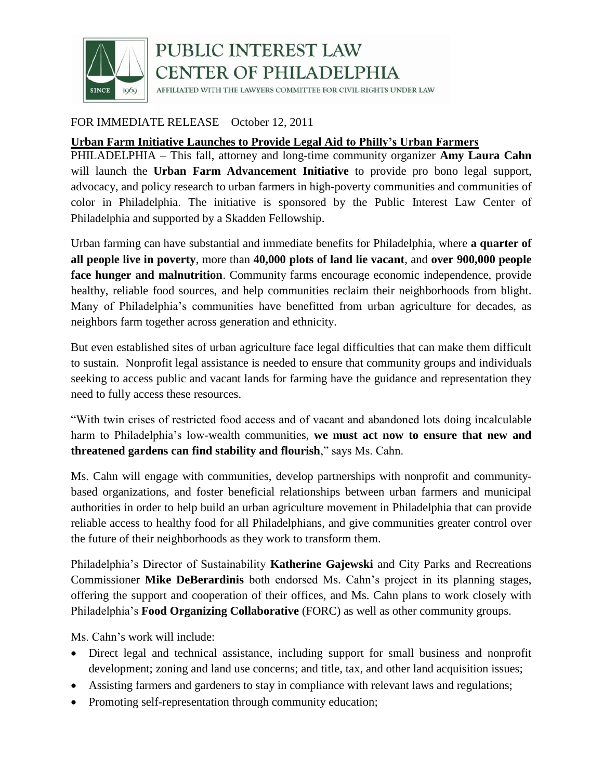

## PUBLIC INTEREST LAW **CENTER OF PHILADELPHIA**

AFFILIATED WITH THE LAWYERS COMMITTEE FOR CIVIL RIGHTS UNDER LAW

### FOR IMMEDIATE RELEASE – October 12, 2011

#### **Urban Farm Initiative Launches to Provide Legal Aid to Philly's Urban Farmers**

PHILADELPHIA – This fall, attorney and long-time community organizer **Amy Laura Cahn** will launch the **Urban Farm Advancement Initiative** to provide pro bono legal support, advocacy, and policy research to urban farmers in high-poverty communities and communities of color in Philadelphia. The initiative is sponsored by the Public Interest Law Center of Philadelphia and supported by a Skadden Fellowship.

Urban farming can have substantial and immediate benefits for Philadelphia, where **a quarter of all people live in poverty**, more than **40,000 plots of land lie vacant**, and **over 900,000 people face hunger and malnutrition**. Community farms encourage economic independence, provide healthy, reliable food sources, and help communities reclaim their neighborhoods from blight. Many of Philadelphia's communities have benefitted from urban agriculture for decades, as neighbors farm together across generation and ethnicity.

But even established sites of urban agriculture face legal difficulties that can make them difficult to sustain. Nonprofit legal assistance is needed to ensure that community groups and individuals seeking to access public and vacant lands for farming have the guidance and representation they need to fully access these resources.

"With twin crises of restricted food access and of vacant and abandoned lots doing incalculable harm to Philadelphia's low-wealth communities, **we must act now to ensure that new and threatened gardens can find stability and flourish**," says Ms. Cahn.

Ms. Cahn will engage with communities, develop partnerships with nonprofit and communitybased organizations, and foster beneficial relationships between urban farmers and municipal authorities in order to help build an urban agriculture movement in Philadelphia that can provide reliable access to healthy food for all Philadelphians, and give communities greater control over the future of their neighborhoods as they work to transform them.

Philadelphia's Director of Sustainability **Katherine Gajewski** and City Parks and Recreations Commissioner **Mike DeBerardinis** both endorsed Ms. Cahn's project in its planning stages, offering the support and cooperation of their offices, and Ms. Cahn plans to work closely with Philadelphia's **Food Organizing Collaborative** (FORC) as well as other community groups.

Ms. Cahn's work will include:

- Direct legal and technical assistance, including support for small business and nonprofit development; zoning and land use concerns; and title, tax, and other land acquisition issues;
- Assisting farmers and gardeners to stay in compliance with relevant laws and regulations;
- Promoting self-representation through community education;